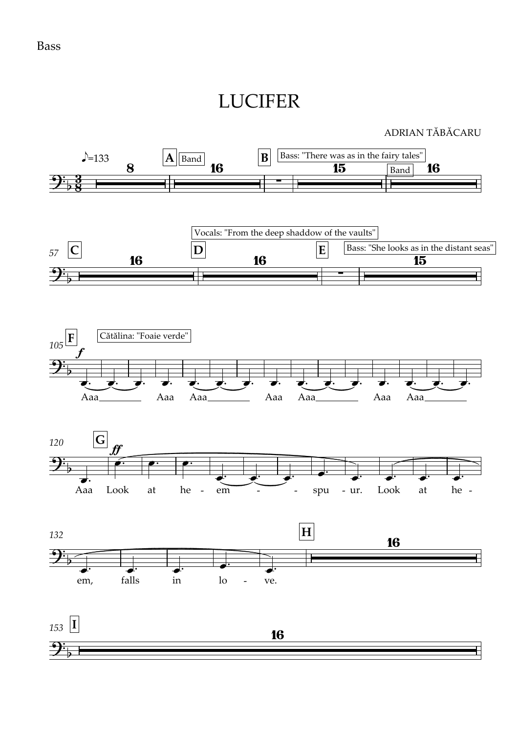## LUCIFER

## ADRIAN TĂBĂCARU